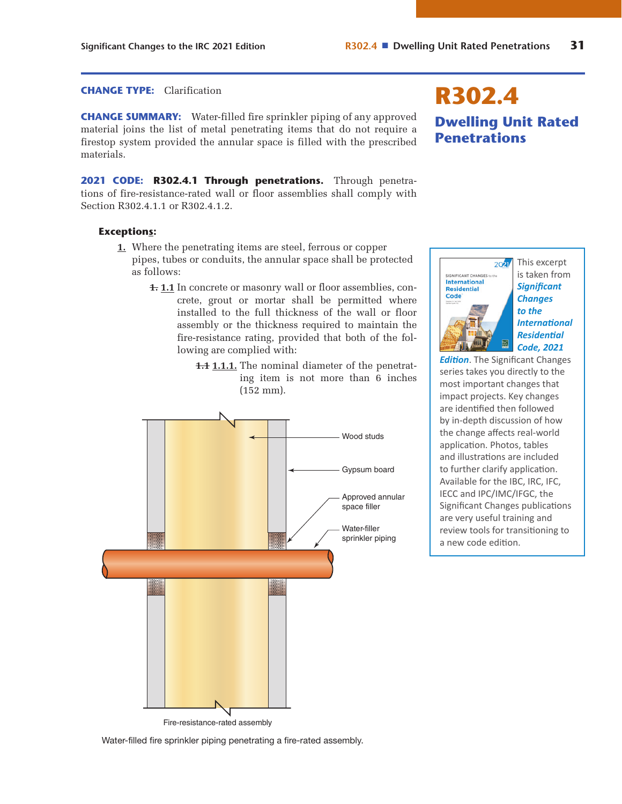## **CHANGE TYPE:** Clarification

**CHANGE SUMMARY:** Water-filled fire sprinkler piping of any approved material joins the list of metal penetrating items that do not require a firestop system provided the annular space is filled with the prescribed materials.

**2021 CODE: R302.4.1 Through penetrations.** Through penetrations of fire-resistance-rated wall or floor assemblies shall comply with Section R302.4.1.1 or R302.4.1.2.

## **Exceptions:**

- **1.** Where the penetrating items are steel, ferrous or copper pipes, tubes or conduits, the annular space shall be protected as follows:
	- **1. 1.1** In concrete or masonry wall or floor assemblies, concrete, grout or mortar shall be permitted where installed to the full thickness of the wall or floor assembly or the thickness required to maintain the fire-resistance rating, provided that both of the following are complied with:
		- **1.1 1.1.1.** The nominal diameter of the penetrating item is not more than 6 inches (152 mm).



**R302.4 Dwelling Unit Rated Penetrations**



*International Residential Code, 2021* 

*Edition*. The Significant Changes series takes you directly to the most important changes that impact projects. Key changes are identified then followed by in-depth discussion of how the change affects real-world application. Photos, tables and illustrations are included to further clarify application. Available for the IBC, IRC, IFC, IECC and IPC/IMC/IFGC, the [Significant Changes publications](https://shop.iccsafe.org/significant-changes-to-the-international-residential-coder-2021-edition.html)  are very useful training and review tools for transitioning to a new code edition.

Water-filled fire sprinkler piping penetrating a fire-rated assembly.